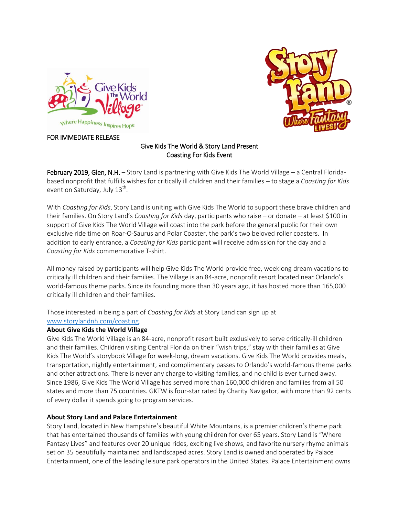



## FOR IMMEDIATE RELEASE

## Give Kids The World & Story Land Present Coasting For Kids Event

February 2019, Glen, N.H. - Story Land is partnering with Give Kids The World Village - a Central Floridabased nonprofit that fulfills wishes for critically ill children and their families – to stage a *Coasting for Kids* event on Saturday, July 13<sup>th</sup>.

With *Coasting for Kids*, Story Land is uniting with Give Kids The World to support these brave children and their families. On Story Land's *Coasting for Kids* day, participants who raise – or donate – at least \$100 in support of Give Kids The World Village will coast into the park before the general public for their own exclusive ride time on Roar-O-Saurus and Polar Coaster, the park's two beloved roller coasters. In addition to early entrance, a *Coasting for Kids* participant will receive admission for the day and a *Coasting for Kids* commemorative T-shirt.

All money raised by participants will help Give Kids The World provide free, weeklong dream vacations to critically ill children and their families. The Village is an 84-acre, nonprofit resort located near Orlando's world-famous theme parks. Since its founding more than 30 years ago, it has hosted more than 165,000 critically ill children and their families.

Those interested in being a part of *Coasting for Kids* at Story Land can sign up at [www.storylandnh.com/coasting.](http://www.storylandnh.com/coasting)

## **About Give Kids the World Village**

Give Kids The World Village is an 84-acre, nonprofit resort built exclusively to serve critically-ill children and their families. Children visiting Central Florida on their "wish trips," stay with their families at Give Kids The World's storybook Village for week-long, dream vacations. Give Kids The World provides meals, transportation, nightly entertainment, and complimentary passes to Orlando's world-famous theme parks and other attractions. There is never any charge to visiting families, and no child is ever turned away. Since 1986, Give Kids The World Village has served more than 160,000 children and families from all 50 states and more than 75 countries. GKTW is four-star rated by Charity Navigator, with more than 92 cents of every dollar it spends going to program services.

## **About Story Land and Palace Entertainment**

Story Land, located in New Hampshire's beautiful White Mountains, is a premier children's theme park that has entertained thousands of families with young children for over 65 years. Story Land is "Where Fantasy Lives" and features over 20 unique rides, exciting live shows, and favorite nursery rhyme animals set on 35 beautifully maintained and landscaped acres. Story Land is owned and operated by Palace Entertainment, one of the leading leisure park operators in the United States. Palace Entertainment owns